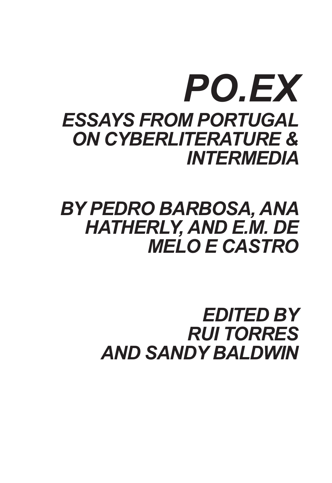# *PO.EX ESSAYS FROM PORTUGAL ON CYBERLITERATURE & INTERMEDIA*

# *BY PEDRO BARBOSA, ANA HATHERLY, AND E.M. DE MELO E CASTRO*

# *EDITED BY RUI TORRES AND SANDY BALDWIN*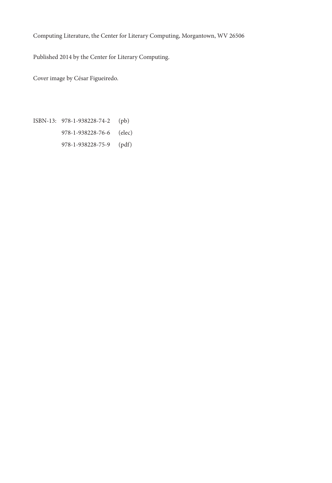Computing Literature, the Center for Literary Computing, Morgantown, WV 26506

Published 2014 by the Center for Literary Computing.

Cover image by César Figueiredo.

ISBN-13: 978-1-938228-74-2 (pb) 978-1-938228-76-6 (elec) 978-1-938228-75-9 (pdf)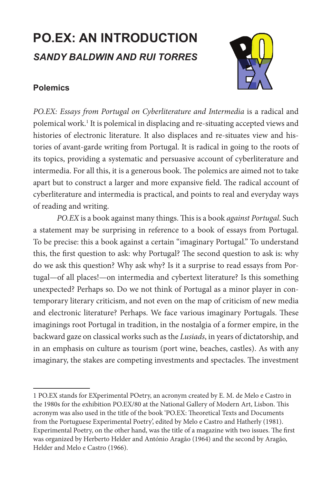# **PO.EX: AN INTRODUCTION** *SANDY BALDWIN AND RUI TORRES*

## **Polemics**



*PO.EX: Essays from Portugal on Cyberliterature and Intermedia* is a radical and polemical work.1 It is polemical in displacing and re-situating accepted views and histories of electronic literature. It also displaces and re-situates view and histories of avant-garde writing from Portugal. It is radical in going to the roots of its topics, providing a systematic and persuasive account of cyberliterature and intermedia. For all this, it is a generous book. The polemics are aimed not to take apart but to construct a larger and more expansive field. The radical account of cyberliterature and intermedia is practical, and points to real and everyday ways of reading and writing.

*PO.EX* is a book against many things. This is a book *against Portugal*. Such a statement may be surprising in reference to a book of essays from Portugal. To be precise: this a book against a certain "imaginary Portugal." To understand this, the first question to ask: why Portugal? The second question to ask is: why do we ask this question? Why ask why? Is it a surprise to read essays from Portugal—of all places!—on intermedia and cybertext literature? Is this something unexpected? Perhaps so. Do we not think of Portugal as a minor player in contemporary literary criticism, and not even on the map of criticism of new media and electronic literature? Perhaps. We face various imaginary Portugals. These imaginings root Portugal in tradition, in the nostalgia of a former empire, in the backward gaze on classical works such as the *Lusiads*, in years of dictatorship, and in an emphasis on culture as tourism (port wine, beaches, castles). As with any imaginary, the stakes are competing investments and spectacles. The investment

<sup>1</sup> PO.EX stands for EXperimental POetry, an acronym created by E. M. de Melo e Castro in the 1980s for the exhibition PO.EX/80 at the National Gallery of Modern Art, Lisbon. This acronym was also used in the title of the book 'PO.EX: Theoretical Texts and Documents from the Portuguese Experimental Poetry', edited by Melo e Castro and Hatherly (1981). Experimental Poetry, on the other hand, was the title of a magazine with two issues. The first was organized by Herberto Helder and António Aragão (1964) and the second by Aragão, Helder and Melo e Castro (1966).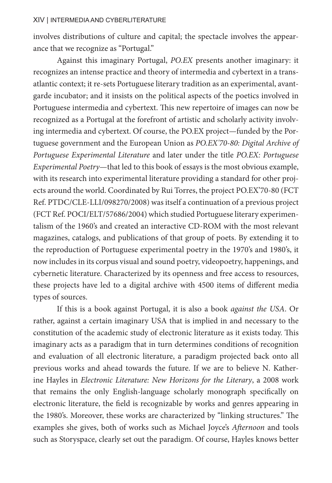involves distributions of culture and capital; the spectacle involves the appearance that we recognize as "Portugal."

Against this imaginary Portugal, *PO.EX* presents another imaginary: it recognizes an intense practice and theory of intermedia and cybertext in a transatlantic context; it re-sets Portuguese literary tradition as an experimental, avantgarde incubator; and it insists on the political aspects of the poetics involved in Portuguese intermedia and cybertext. This new repertoire of images can now be recognized as a Portugal at the forefront of artistic and scholarly activity involving intermedia and cybertext. Of course, the PO.EX project—funded by the Portuguese government and the European Union as *PO.EX'70-80: Digital Archive of Portuguese Experimental Literature* and later under the title *PO.EX: Portuguese Experimental Poetry*—that led to this book of essays is the most obvious example, with its research into experimental literature providing a standard for other projects around the world. Coordinated by Rui Torres, the project PO.EX'70-80 (FCT Ref. PTDC/CLE-LLI/098270/2008) was itself a continuation of a previous project (FCT Ref. POCI/ELT/57686/2004) which studied Portuguese literary experimentalism of the 1960's and created an interactive CD-ROM with the most relevant magazines, catalogs, and publications of that group of poets. By extending it to the reproduction of Portuguese experimental poetry in the 1970's and 1980's, it now includes in its corpus visual and sound poetry, videopoetry, happenings, and cybernetic literature. Characterized by its openness and free access to resources, these projects have led to a digital archive with 4500 items of different media types of sources.

If this is a book against Portugal, it is also a book *against the USA*. Or rather, against a certain imaginary USA that is implied in and necessary to the constitution of the academic study of electronic literature as it exists today. This imaginary acts as a paradigm that in turn determines conditions of recognition and evaluation of all electronic literature, a paradigm projected back onto all previous works and ahead towards the future. If we are to believe N. Katherine Hayles in *Electronic Literature: New Horizons for the Literary*, a 2008 work that remains the only English-language scholarly monograph specifically on electronic literature, the field is recognizable by works and genres appearing in the 1980's. Moreover, these works are characterized by "linking structures." The examples she gives, both of works such as Michael Joyce's *Afternoon* and tools such as Storyspace, clearly set out the paradigm. Of course, Hayles knows better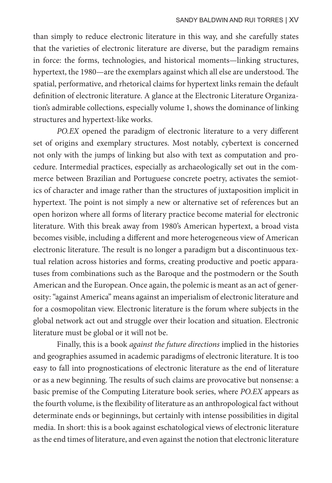than simply to reduce electronic literature in this way, and she carefully states that the varieties of electronic literature are diverse, but the paradigm remains in force: the forms, technologies, and historical moments—linking structures, hypertext, the 1980—are the exemplars against which all else are understood. The spatial, performative, and rhetorical claims for hypertext links remain the default definition of electronic literature. A glance at the Electronic Literature Organization's admirable collections, especially volume 1, shows the dominance of linking structures and hypertext-like works.

*PO.EX* opened the paradigm of electronic literature to a very different set of origins and exemplary structures. Most notably, cybertext is concerned not only with the jumps of linking but also with text as computation and procedure. Intermedial practices, especially as archaeologically set out in the commerce between Brazilian and Portuguese concrete poetry, activates the semiotics of character and image rather than the structures of juxtaposition implicit in hypertext. The point is not simply a new or alternative set of references but an open horizon where all forms of literary practice become material for electronic literature. With this break away from 1980's American hypertext, a broad vista becomes visible, including a different and more heterogeneous view of American electronic literature. The result is no longer a paradigm but a discontinuous textual relation across histories and forms, creating productive and poetic apparatuses from combinations such as the Baroque and the postmodern or the South American and the European. Once again, the polemic is meant as an act of generosity: "against America" means against an imperialism of electronic literature and for a cosmopolitan view. Electronic literature is the forum where subjects in the global network act out and struggle over their location and situation. Electronic literature must be global or it will not be.

Finally, this is a book *against the future directions* implied in the histories and geographies assumed in academic paradigms of electronic literature. It is too easy to fall into prognostications of electronic literature as the end of literature or as a new beginning. The results of such claims are provocative but nonsense: a basic premise of the Computing Literature book series, where *PO.EX* appears as the fourth volume, is the flexibility of literature as an anthropological fact without determinate ends or beginnings, but certainly with intense possibilities in digital media. In short: this is a book against eschatological views of electronic literature as the end times of literature, and even against the notion that electronic literature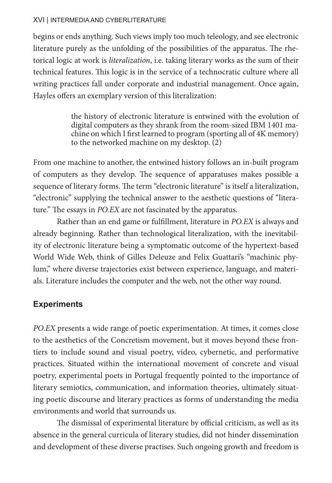### XVI | INTERMEDIA AND CYBERLITERATURE

begins or ends anything. Such views imply too much teleology, and see electronic literature purely as the unfolding of the possibilities of the apparatus. The rhetorical logic at work is *literalization*, i.e. taking literary works as the sum of their technical features. This logic is in the service of a technocratic culture where all writing practices fall under corporate and industrial management. Once again, Hayles offers an exemplary version of this literalization:

> the history of electronic literature is entwined with the evolution of digital computers as they shrank from the room-sized IBM 1401 machine on which I first learned to program (sporting all of 4K memory) to the networked machine on my desktop. (2)

From one machine to another, the entwined history follows an in-built program of computers as they develop. The sequence of apparatuses makes possible a sequence of literary forms. The term "electronic literature" is itself a literalization, "electronic" supplying the technical answer to the aesthetic questions of "literature." The essays in *PO.EX* are not fascinated by the apparatus.

Rather than an end game or fulfillment, literature in *PO.EX* is always and already beginning. Rather than technological literalization, with the inevitability of electronic literature being a symptomatic outcome of the hypertext-based World Wide Web, think of Gilles Deleuze and Felix Guattari's "machinic phylum," where diverse trajectories exist between experience, language, and materials. Literature includes the computer and the web, not the other way round.

### **Experiments**

*PO.EX* presents a wide range of poetic experimentation. At times, it comes close to the aesthetics of the Concretism movement, but it moves beyond these frontiers to include sound and visual poetry, video, cybernetic, and performative practices. Situated within the international movement of concrete and visual poetry, experimental poets in Portugal frequently pointed to the importance of literary semiotics, communication, and information theories, ultimately situating poetic discourse and literary practices as forms of understanding the media environments and world that surrounds us.

The dismissal of experimental literature by official criticism, as well as its absence in the general curricula of literary studies, did not hinder dissemination and development of these diverse practises. Such ongoing growth and freedom is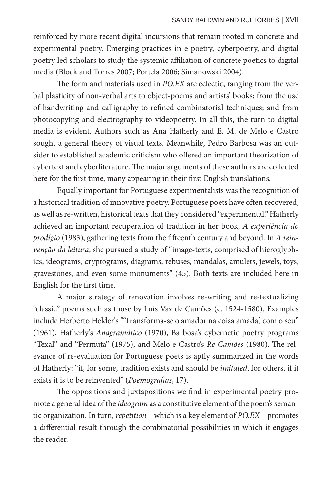reinforced by more recent digital incursions that remain rooted in concrete and experimental poetry. Emerging practices in e-poetry, cyberpoetry, and digital poetry led scholars to study the systemic affiliation of concrete poetics to digital media (Block and Torres 2007; Portela 2006; Simanowski 2004).

The form and materials used in *PO.EX* are eclectic, ranging from the verbal plasticity of non-verbal arts to object-poems and artists' books; from the use of handwriting and calligraphy to refined combinatorial techniques; and from photocopying and electrography to videopoetry. In all this, the turn to digital media is evident. Authors such as Ana Hatherly and E. M. de Melo e Castro sought a general theory of visual texts. Meanwhile, Pedro Barbosa was an outsider to established academic criticism who offered an important theorization of cybertext and cyberliterature. The major arguments of these authors are collected here for the first time, many appearing in their first English translations.

Equally important for Portuguese experimentalists was the recognition of a historical tradition of innovative poetry. Portuguese poets have often recovered, as well as re-written, historical texts that they considered "experimental." Hatherly achieved an important recuperation of tradition in her book, *A experiência do prodígio* (1983), gathering texts from the fifteenth century and beyond. In *A reinvenção da leitura*, she pursued a study of "image-texts, comprised of hieroglyphics, ideograms, cryptograms, diagrams, rebuses, mandalas, amulets, jewels, toys, gravestones, and even some monuments" (45). Both texts are included here in English for the first time.

A major strategy of renovation involves re-writing and re-textualizing "classic" poems such as those by Luís Vaz de Camões (c. 1524-1580). Examples include Herberto Helder's "'Transforma-se o amador na coisa amada,' com o seu" (1961), Hatherly's *Anagramático* (1970), Barbosa's cybernetic poetry programs "Texal" and "Permuta" (1975), and Melo e Castro's *Re-Camões* (1980). The relevance of re-evaluation for Portuguese poets is aptly summarized in the words of Hatherly: "if, for some, tradition exists and should be *imitated*, for others, if it exists it is to be reinvented" (*Poemografias*, 17).

The oppositions and juxtapositions we find in experimental poetry promote a general idea of the *ideogram* as a constitutive element of the poem's semantic organization. In turn, *repetition*—which is a key element of *PO.EX*—promotes a differential result through the combinatorial possibilities in which it engages the reader.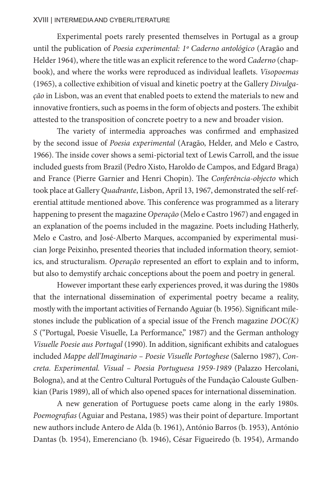#### XVIII | INTERMEDIA AND CYBERLITERATURE

Experimental poets rarely presented themselves in Portugal as a group until the publication of *Poesia experimental: 1º Caderno antológico* (Aragão and Helder 1964), where the title was an explicit reference to the word *Caderno* (chapbook), and where the works were reproduced as individual leaflets. *Visopoemas* (1965), a collective exhibition of visual and kinetic poetry at the Gallery *Divulgação* in Lisbon, was an event that enabled poets to extend the materials to new and innovative frontiers, such as poems in the form of objects and posters. The exhibit attested to the transposition of concrete poetry to a new and broader vision.

The variety of intermedia approaches was confirmed and emphasized by the second issue of *Poesia experimental* (Aragão, Helder, and Melo e Castro, 1966). The inside cover shows a semi-pictorial text of Lewis Carroll, and the issue included guests from Brazil (Pedro Xisto, Haroldo de Campos, and Edgard Braga) and France (Pierre Garnier and Henri Chopin). The *Conferência-objecto* which took place at Gallery *Quadrante*, Lisbon, April 13, 1967, demonstrated the self-referential attitude mentioned above. This conference was programmed as a literary happening to present the magazine *Operação* (Melo e Castro 1967) and engaged in an explanation of the poems included in the magazine. Poets including Hatherly, Melo e Castro, and José-Alberto Marques, accompanied by experimental musician Jorge Peixinho, presented theories that included information theory, semiotics, and structuralism. *Operação* represented an effort to explain and to inform, but also to demystify archaic conceptions about the poem and poetry in general.

However important these early experiences proved, it was during the 1980s that the international dissemination of experimental poetry became a reality, mostly with the important activities of Fernando Aguiar (b. 1956). Significant milestones include the publication of a special issue of the French magazine *DOC(K) S* ("Portugal, Poesie Visuelle, La Performance," 1987) and the German anthology *Visuelle Poesie aus Portugal* (1990). In addition, significant exhibits and catalogues included *Mappe dell'Imaginario – Poesie Visuelle Portoghese* (Salerno 1987), *Concreta. Experimental. Visual – Poesia Portuguesa 1959-1989* (Palazzo Hercolani, Bologna), and at the Centro Cultural Português of the Fundação Calouste Gulbenkian (Paris 1989), all of which also opened spaces for international dissemination.

A new generation of Portuguese poets came along in the early 1980s. *Poemografias* (Aguiar and Pestana, 1985) was their point of departure. Important new authors include Antero de Alda (b. 1961), António Barros (b. 1953), António Dantas (b. 1954), Emerenciano (b. 1946), César Figueiredo (b. 1954), Armando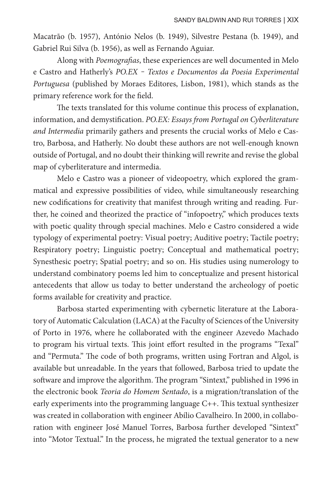Macatrão (b. 1957), António Nelos (b. 1949), Silvestre Pestana (b. 1949), and Gabriel Rui Silva (b. 1956), as well as Fernando Aguiar.

Along with *Poemografias*, these experiences are well documented in Melo e Castro and Hatherly's *PO.EX ‒ Textos e Documentos da Poesia Experimental Portuguesa* (published by Moraes Editores, Lisbon, 1981), which stands as the primary reference work for the field.

The texts translated for this volume continue this process of explanation, information, and demystification. *PO.EX: Essays from Portugal on Cyberliterature and Intermedia* primarily gathers and presents the crucial works of Melo e Castro, Barbosa, and Hatherly. No doubt these authors are not well-enough known outside of Portugal, and no doubt their thinking will rewrite and revise the global map of cyberliterature and intermedia.

Melo e Castro was a pioneer of videopoetry, which explored the grammatical and expressive possibilities of video, while simultaneously researching new codifications for creativity that manifest through writing and reading. Further, he coined and theorized the practice of "infopoetry," which produces texts with poetic quality through special machines. Melo e Castro considered a wide typology of experimental poetry: Visual poetry; Auditive poetry; Tactile poetry; Respiratory poetry; Linguistic poetry; Conceptual and mathematical poetry; Synesthesic poetry; Spatial poetry; and so on. His studies using numerology to understand combinatory poems led him to conceptualize and present historical antecedents that allow us today to better understand the archeology of poetic forms available for creativity and practice.

Barbosa started experimenting with cybernetic literature at the Laboratory of Automatic Calculation (LACA) at the Faculty of Sciences of the University of Porto in 1976, where he collaborated with the engineer Azevedo Machado to program his virtual texts. This joint effort resulted in the programs "Texal" and "Permuta." The code of both programs, written using Fortran and Algol, is available but unreadable. In the years that followed, Barbosa tried to update the software and improve the algorithm. The program "Sintext," published in 1996 in the electronic book *Teoria do Homem Sentado*, is a migration/translation of the early experiments into the programming language C++. This textual synthesizer was created in collaboration with engineer Abílio Cavalheiro. In 2000, in collaboration with engineer José Manuel Torres, Barbosa further developed "Sintext" into "Motor Textual." In the process, he migrated the textual generator to a new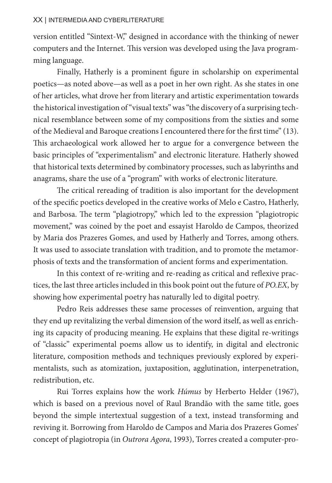#### XX | INTERMEDIA AND CYBERLITERATURE

version entitled "Sintext-W," designed in accordance with the thinking of newer computers and the Internet. This version was developed using the Java programming language.

Finally, Hatherly is a prominent figure in scholarship on experimental poetics—as noted above—as well as a poet in her own right. As she states in one of her articles, what drove her from literary and artistic experimentation towards the historical investigation of "visual texts" was "the discovery of a surprising technical resemblance between some of my compositions from the sixties and some of the Medieval and Baroque creations I encountered there for the first time" (13). This archaeological work allowed her to argue for a convergence between the basic principles of "experimentalism" and electronic literature. Hatherly showed that historical texts determined by combinatory processes, such as labyrinths and anagrams, share the use of a "program" with works of electronic literature.

The critical rereading of tradition is also important for the development of the specific poetics developed in the creative works of Melo e Castro, Hatherly, and Barbosa. The term "plagiotropy," which led to the expression "plagiotropic movement," was coined by the poet and essayist Haroldo de Campos, theorized by Maria dos Prazeres Gomes, and used by Hatherly and Torres, among others. It was used to associate translation with tradition, and to promote the metamorphosis of texts and the transformation of ancient forms and experimentation.

In this context of re-writing and re-reading as critical and reflexive practices, the last three articles included in this book point out the future of *PO.EX*, by showing how experimental poetry has naturally led to digital poetry.

Pedro Reis addresses these same processes of reinvention, arguing that they end up revitalizing the verbal dimension of the word itself, as well as enriching its capacity of producing meaning. He explains that these digital re-writings of "classic" experimental poems allow us to identify, in digital and electronic literature, composition methods and techniques previously explored by experimentalists, such as atomization, juxtaposition, agglutination, interpenetration, redistribution, etc.

Rui Torres explains how the work *Húmus* by Herberto Helder (1967), which is based on a previous novel of Raul Brandão with the same title, goes beyond the simple intertextual suggestion of a text, instead transforming and reviving it. Borrowing from Haroldo de Campos and Maria dos Prazeres Gomes' concept of plagiotropia (in *Outrora Agora*, 1993), Torres created a computer-pro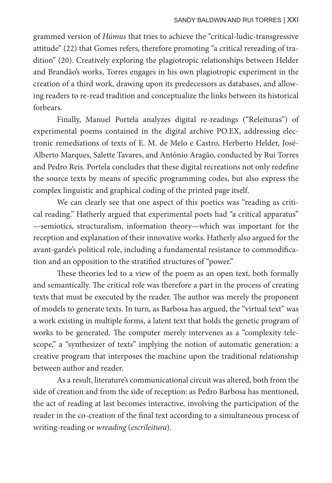grammed version of *Húmus* that tries to achieve the "critical-ludic-transgressive attitude" (22) that Gomes refers, therefore promoting "a critical rereading of tradition" (20). Creatively exploring the plagiotropic relationships between Helder and Brandão's works, Torres engages in his own plagiotropic experiment in the creation of a third work, drawing upon its predecessors as databases, and allowing readers to re-read tradition and conceptualize the links between its historical forbears.

Finally, Manuel Portela analyzes digital re-readings ("Releituras") of experimental poems contained in the digital archive PO.EX, addressing electronic remediations of texts of E. M. de Melo e Castro, Herberto Helder, José-Alberto Marques, Salette Tavares, and António Aragão, conducted by Rui Torres and Pedro Reis. Portela concludes that these digital recreations not only redefine the source texts by means of specific programming codes, but also express the complex linguistic and graphical coding of the printed page itself.

We can clearly see that one aspect of this poetics was "reading as critical reading." Hatherly argued that experimental poets had "a critical apparatus" —semiotics, structuralism, information theory—which was important for the reception and explanation of their innovative works. Hatherly also argued for the avant-garde's political role, including a fundamental resistance to commodification and an opposition to the stratified structures of "power."

These theories led to a view of the poem as an open text, both formally and semantically. The critical role was therefore a part in the process of creating texts that must be executed by the reader. The author was merely the proponent of models to generate texts. In turn, as Barbosa has argued, the "virtual text" was a work existing in multiple forms, a latent text that holds the genetic program of works to be generated. The computer merely intervenes as a "complexity telescope," a "synthesizer of texts" implying the notion of automatic generation: a creative program that interposes the machine upon the traditional relationship between author and reader.

As a result, literature's communicational circuit was altered, both from the side of creation and from the side of reception: as Pedro Barbosa has mentioned, the act of reading at last becomes interactive, involving the participation of the reader in the co-creation of the final text according to a simultaneous process of writing-reading or *wreading* (*escrileitura*).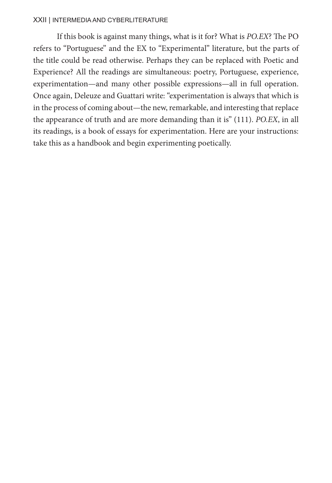#### XXII | INTERMEDIA AND CYBERLITERATURE

If this book is against many things, what is it for? What is *PO.EX*? The PO refers to "Portuguese" and the EX to "Experimental" literature, but the parts of the title could be read otherwise. Perhaps they can be replaced with Poetic and Experience? All the readings are simultaneous: poetry, Portuguese, experience, experimentation—and many other possible expressions—all in full operation. Once again, Deleuze and Guattari write: "experimentation is always that which is in the process of coming about—the new, remarkable, and interesting that replace the appearance of truth and are more demanding than it is" (111). *PO.EX*, in all its readings, is a book of essays for experimentation. Here are your instructions: take this as a handbook and begin experimenting poetically.